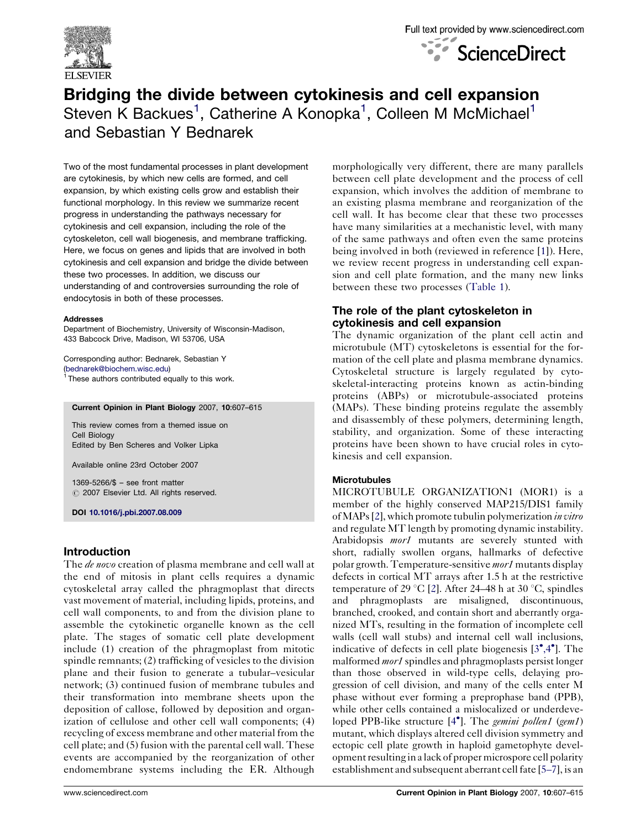



# Bridging the divide between cytokinesis and cell expansion Steven K Backues<sup>1</sup>, Catherine A Konopka<sup>1</sup>, Colleen M McMichael<sup>1</sup> and Sebastian Y Bednarek

Two of the most fundamental processes in plant development are cytokinesis, by which new cells are formed, and cell expansion, by which existing cells grow and establish their functional morphology. In this review we summarize recent progress in understanding the pathways necessary for cytokinesis and cell expansion, including the role of the cytoskeleton, cell wall biogenesis, and membrane trafficking. Here, we focus on genes and lipids that are involved in both cytokinesis and cell expansion and bridge the divide between these two processes. In addition, we discuss our understanding of and controversies surrounding the role of endocytosis in both of these processes.

#### Addresses

Department of Biochemistry, University of Wisconsin-Madison, 433 Babcock Drive, Madison, WI 53706, USA

Corresponding author: Bednarek, Sebastian Y ([bednarek@biochem.wisc.edu](mailto:bednarek@biochem.wisc.edu))  $1$  These authors contributed equally to this work.

#### Current Opinion in Plant Biology 2007, 10:607–615

This review comes from a themed issue on Cell Biology Edited by Ben Scheres and Volker Lipka

Available online 23rd October 2007

1369-5266/\$ – see front matter  $O$  2007 Elsevier Ltd. All rights reserved.

DOI [10.1016/j.pbi.2007.08.009](http://dx.doi.org/10.1016/j.pbi.2007.08.009)

### Introduction

The *de novo* creation of plasma membrane and cell wall at the end of mitosis in plant cells requires a dynamic cytoskeletal array called the phragmoplast that directs vast movement of material, including lipids, proteins, and cell wall components, to and from the division plane to assemble the cytokinetic organelle known as the cell plate. The stages of somatic cell plate development include (1) creation of the phragmoplast from mitotic spindle remnants; (2) trafficking of vesicles to the division plane and their fusion to generate a tubular–vesicular network; (3) continued fusion of membrane tubules and their transformation into membrane sheets upon the deposition of callose, followed by deposition and organization of cellulose and other cell wall components; (4) recycling of excess membrane and other material from the cell plate; and (5) fusion with the parental cell wall. These events are accompanied by the reorganization of other endomembrane systems including the ER. Although morphologically very different, there are many parallels between cell plate development and the process of cell expansion, which involves the addition of membrane to an existing plasma membrane and reorganization of the cell wall. It has become clear that these two processes have many similarities at a mechanistic level, with many of the same pathways and often even the same proteins being involved in both (reviewed in reference [[1\]](#page-6-0)). Here, we review recent progress in understanding cell expansion and cell plate formation, and the many new links between these two processes [\(Table 1](#page-1-0)).

## The role of the plant cytoskeleton in cytokinesis and cell expansion

The dynamic organization of the plant cell actin and microtubule (MT) cytoskeletons is essential for the formation of the cell plate and plasma membrane dynamics. Cytoskeletal structure is largely regulated by cytoskeletal-interacting proteins known as actin-binding proteins (ABPs) or microtubule-associated proteins (MAPs). These binding proteins regulate the assembly and disassembly of these polymers, determining length, stability, and organization. Some of these interacting proteins have been shown to have crucial roles in cytokinesis and cell expansion.

#### **Microtubules**

MICROTUBULE ORGANIZATION1 (MOR1) is a member of the highly conserved MAP215/DIS1 family ofMAPs [[2\]](#page-6-0), which promote tubulin polymerization in vitro and regulate MT length by promoting dynamic instability. Arabidopsis *mor1* mutants are severely stunted with short, radially swollen organs, hallmarks of defective polar growth. Temperature-sensitive mor1 mutants display defects in cortical MT arrays after 1.5 h at the restrictive temperature of 29 °C [\[2](#page-6-0)]. After 24–48 h at 30 °C, spindles and phragmoplasts are misaligned, discontinuous, branched, crooked, and contain short and aberrantly organized MTs, resulting in the formation of incomplete cell walls (cell wall stubs) and internal cell wall inclusions, indicative of defects in cell plate biogenesis  $[3^{\bullet}, 4^{\bullet}]$  $[3^{\bullet}, 4^{\bullet}]$ . The malformed *mor1* spindles and phragmoplasts persist longer than those observed in wild-type cells, delaying progression of cell division, and many of the cells enter M phase without ever forming a preprophase band (PPB), while other cells contained a mislocalized or underdeve-loped PPB-like structure [[4](#page-6-0)<sup>\*</sup>]. The *gemini pollen1* (gem1) mutant, which displays altered cell division symmetry and ectopic cell plate growth in haploid gametophyte development resulting in a lack of proper microspore cell polarity establishment and subsequent aberrant cell fate [\[5–7\]](#page-6-0), is an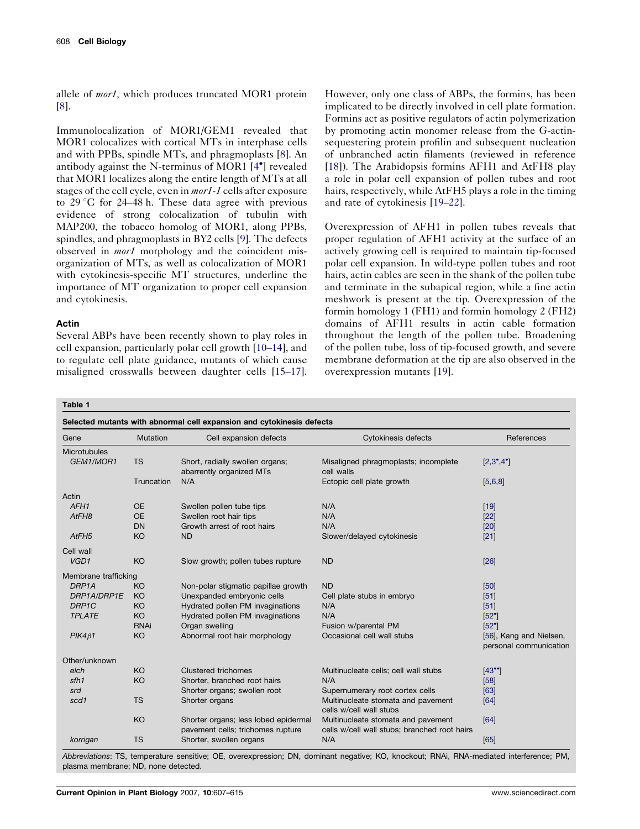<span id="page-1-0"></span>allele of *mor1*, which produces truncated MOR1 protein [\[8](#page-6-0)].

Immunolocalization of MOR1/GEM1 revealed that MOR1 colocalizes with cortical MTs in interphase cells and with PPBs, spindle MTs, and phragmoplasts [\[8](#page-6-0)]. An antibody against the N-terminus of MOR1 [[4](#page-6-0)<sup>°</sup>] revealed that MOR1 localizes along the entire length of MTs at all stages of the cell cycle, even in mor1-1 cells after exposure to  $29^{\circ}$ C for  $24-48$  h. These data agree with previous evidence of strong colocalization of tubulin with MAP200, the tobacco homolog of MOR1, along PPBs, spindles, and phragmoplasts in BY2 cells [[9\]](#page-6-0). The defects observed in *mor1* morphology and the coincident misorganization of MTs, as well as colocalization of MOR1 with cytokinesis-specific MT structures, underline the importance of MT organization to proper cell expansion and cytokinesis.

#### Actin

Several ABPs have been recently shown to play roles in cell expansion, particularly polar cell growth [\[10–14](#page-6-0)], and to regulate cell plate guidance, mutants of which cause misaligned crosswalls between daughter cells [\[15–17](#page-6-0)]. However, only one class of ABPs, the formins, has been implicated to be directly involved in cell plate formation. Formins act as positive regulators of actin polymerization by promoting actin monomer release from the G-actinsequestering protein profilin and subsequent nucleation of unbranched actin filaments (reviewed in reference [\[18](#page-6-0)]). The Arabidopsis formins AFH1 and AtFH8 play a role in polar cell expansion of pollen tubes and root hairs, respectively, while AtFH5 plays a role in the timing and rate of cytokinesis [[19–22\]](#page-6-0).

Overexpression of AFH1 in pollen tubes reveals that proper regulation of AFH1 activity at the surface of an actively growing cell is required to maintain tip-focused polar cell expansion. In wild-type pollen tubes and root hairs, actin cables are seen in the shank of the pollen tube and terminate in the subapical region, while a fine actin meshwork is present at the tip. Overexpression of the formin homology 1 (FH1) and formin homology 2 (FH2) domains of AFH1 results in actin cable formation throughout the length of the pollen tube. Broadening of the pollen tube, loss of tip-focused growth, and severe membrane deformation at the tip are also observed in the overexpression mutants [[19](#page-6-0)].

Table 1

| Selected mutants with abnormal cell expansion and cytokinesis defects |                 |                                                                           |                                                                                    |                                                   |
|-----------------------------------------------------------------------|-----------------|---------------------------------------------------------------------------|------------------------------------------------------------------------------------|---------------------------------------------------|
| Gene                                                                  | <b>Mutation</b> | Cell expansion defects                                                    | Cytokinesis defects                                                                | References                                        |
| <b>Microtubules</b>                                                   |                 |                                                                           |                                                                                    |                                                   |
| GEM1/MOR1                                                             | <b>TS</b>       | Short, radially swollen organs;<br>abarrently organized MTs               | Misaligned phragmoplasts; incomplete<br>cell walls                                 | $[2,3^{\bullet},4^{\bullet}]$                     |
|                                                                       | Truncation      | N/A                                                                       | Ectopic cell plate growth                                                          | [5,6,8]                                           |
| Actin                                                                 |                 |                                                                           |                                                                                    |                                                   |
| AFH <sub>1</sub>                                                      | <b>OE</b>       | Swollen pollen tube tips                                                  | N/A                                                                                | $[19]$                                            |
| AtFH <sub>8</sub>                                                     | <b>OE</b>       | Swollen root hair tips                                                    | N/A                                                                                | $[22]$                                            |
|                                                                       | DN              | Growth arrest of root hairs                                               | N/A                                                                                | [20]                                              |
| AtFH <sub>5</sub>                                                     | KO              | <b>ND</b>                                                                 | Slower/delayed cytokinesis                                                         | $[21]$                                            |
| Cell wall                                                             |                 |                                                                           |                                                                                    |                                                   |
| VGD1                                                                  | KO              | Slow growth; pollen tubes rupture                                         | <b>ND</b>                                                                          | [26]                                              |
| Membrane trafficking                                                  |                 |                                                                           |                                                                                    |                                                   |
| DRP1A                                                                 | KO              | Non-polar stigmatic papillae growth                                       | <b>ND</b>                                                                          | [50]                                              |
| DRP1A/DRP1E                                                           | <b>KO</b>       | Unexpanded embryonic cells                                                | Cell plate stubs in embryo                                                         | $[51]$                                            |
| DRP1C                                                                 | KO              | Hydrated pollen PM invaginations                                          | N/A                                                                                | [51]                                              |
| <b>TPLATE</b>                                                         | <b>KO</b>       | Hydrated pollen PM invaginations                                          | N/A                                                                                | [52]                                              |
|                                                                       | <b>RNAi</b>     | Organ swelling                                                            | Fusion w/parental PM                                                               | $[52^{\circ}]$                                    |
| $PIK4\beta1$                                                          | KO              | Abnormal root hair morphology                                             | Occasional cell wall stubs                                                         | [56], Kang and Nielsen,<br>personal communication |
| Other/unknown                                                         |                 |                                                                           |                                                                                    |                                                   |
| elch                                                                  | KO              | Clustered trichomes                                                       | Multinucleate cells; cell wall stubs                                               | $[43^{\circ}]$                                    |
| sfh1                                                                  | KO              | Shorter, branched root hairs                                              | N/A                                                                                | [58]                                              |
| srd                                                                   |                 | Shorter organs; swollen root                                              | Supernumerary root cortex cells                                                    | [63]                                              |
| scd1                                                                  | <b>TS</b>       | Shorter organs                                                            | Multinucleate stomata and pavement<br>cells w/cell wall stubs                      | [64]                                              |
|                                                                       | <b>KO</b>       | Shorter organs; less lobed epidermal<br>pavement cells; trichomes rupture | Multinucleate stomata and pavement<br>cells w/cell wall stubs; branched root hairs | [64]                                              |
| korrigan                                                              | <b>TS</b>       | Shorter, swollen organs                                                   | N/A                                                                                | [65]                                              |

Abbreviations: TS, temperature sensitive; OE, overexpression; DN, dominant negative; KO, knockout; RNAi, RNA-mediated interference; PM, plasma membrane; ND, none detected.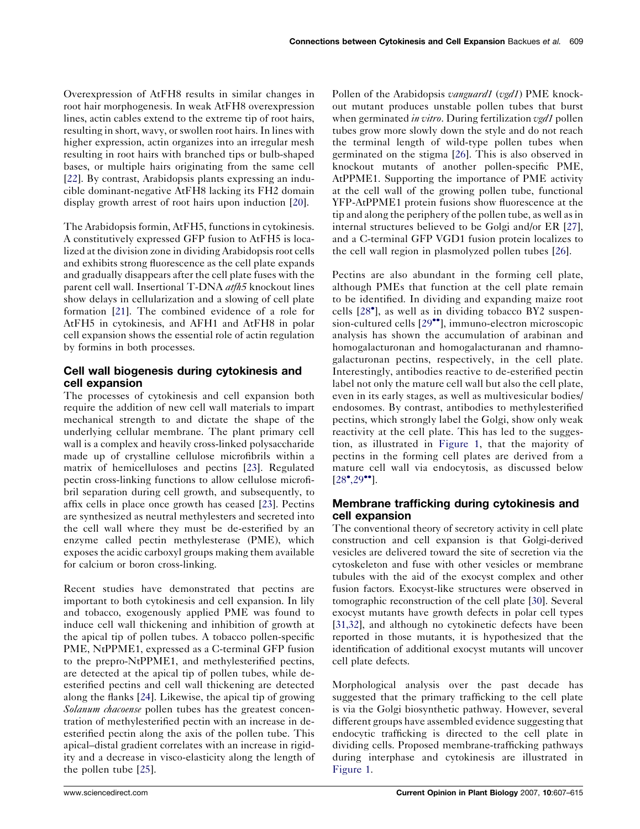Overexpression of AtFH8 results in similar changes in root hair morphogenesis. In weak AtFH8 overexpression lines, actin cables extend to the extreme tip of root hairs, resulting in short, wavy, or swollen root hairs. In lines with higher expression, actin organizes into an irregular mesh resulting in root hairs with branched tips or bulb-shaped bases, or multiple hairs originating from the same cell [\[22](#page-6-0)]. By contrast, Arabidopsis plants expressing an inducible dominant-negative AtFH8 lacking its FH2 domain display growth arrest of root hairs upon induction [\[20](#page-6-0)].

The Arabidopsis formin, AtFH5, functions in cytokinesis. A constitutively expressed GFP fusion to AtFH5 is localized at the division zone in dividing Arabidopsis root cells and exhibits strong fluorescence as the cell plate expands and gradually disappears after the cell plate fuses with the parent cell wall. Insertional T-DNA atfh5 knockout lines show delays in cellularization and a slowing of cell plate formation [\[21](#page-6-0)]. The combined evidence of a role for AtFH5 in cytokinesis, and AFH1 and AtFH8 in polar cell expansion shows the essential role of actin regulation by formins in both processes.

# Cell wall biogenesis during cytokinesis and cell expansion

The processes of cytokinesis and cell expansion both require the addition of new cell wall materials to impart mechanical strength to and dictate the shape of the underlying cellular membrane. The plant primary cell wall is a complex and heavily cross-linked polysaccharide made up of crystalline cellulose microfibrils within a matrix of hemicelluloses and pectins [\[23](#page-6-0)]. Regulated pectin cross-linking functions to allow cellulose microfibril separation during cell growth, and subsequently, to affix cells in place once growth has ceased [[23\]](#page-6-0). Pectins are synthesized as neutral methylesters and secreted into the cell wall where they must be de-esterified by an enzyme called pectin methylesterase (PME), which exposes the acidic carboxyl groups making them available for calcium or boron cross-linking.

Recent studies have demonstrated that pectins are important to both cytokinesis and cell expansion. In lily and tobacco, exogenously applied PME was found to induce cell wall thickening and inhibition of growth at the apical tip of pollen tubes. A tobacco pollen-specific PME, NtPPME1, expressed as a C-terminal GFP fusion to the prepro-NtPPME1, and methylesterified pectins, are detected at the apical tip of pollen tubes, while deesterified pectins and cell wall thickening are detected along the flanks [\[24](#page-6-0)]. Likewise, the apical tip of growing Solanum chacoense pollen tubes has the greatest concentration of methylesterified pectin with an increase in deesterified pectin along the axis of the pollen tube. This apical–distal gradient correlates with an increase in rigidity and a decrease in visco-elasticity along the length of the pollen tube [[25\]](#page-6-0).

Pollen of the Arabidopsis *vanguard1* (vgd1) PME knockout mutant produces unstable pollen tubes that burst when germinated *in vitro*. During fertilization vgd1 pollen tubes grow more slowly down the style and do not reach the terminal length of wild-type pollen tubes when germinated on the stigma [[26\]](#page-6-0). This is also observed in knockout mutants of another pollen-specific PME, AtPPME1. Supporting the importance of PME activity at the cell wall of the growing pollen tube, functional YFP-AtPPME1 protein fusions show fluorescence at the tip and along the periphery of the pollen tube, as well as in internal structures believed to be Golgi and/or ER [[27\]](#page-6-0), and a C-terminal GFP VGD1 fusion protein localizes to the cell wall region in plasmolyzed pollen tubes [[26\]](#page-6-0).

Pectins are also abundant in the forming cell plate, although PMEs that function at the cell plate remain to be identified. In dividing and expanding maize root cells [[28](#page-6-0)<sup>°</sup>], as well as in dividing tobacco BY2 suspen-sion-cultured cells [[29](#page-6-0)<sup>••</sup>], immuno-electron microscopic analysis has shown the accumulation of arabinan and homogalacturonan and homogalacturanan and rhamnogalacturonan pectins, respectively, in the cell plate. Interestingly, antibodies reactive to de-esterified pectin label not only the mature cell wall but also the cell plate, even in its early stages, as well as multivesicular bodies/ endosomes. By contrast, antibodies to methylesterified pectins, which strongly label the Golgi, show only weak reactivity at the cell plate. This has led to the suggestion, as illustrated in [Figure 1](#page-3-0), that the majority of pectins in the forming cell plates are derived from a mature cell wall via endocytosis, as discussed below  $[28^{\circ}, 29^{\circ\bullet}].$  $[28^{\circ}, 29^{\circ\bullet}].$  $[28^{\circ}, 29^{\circ\bullet}].$ 

# Membrane trafficking during cytokinesis and cell expansion

The conventional theory of secretory activity in cell plate construction and cell expansion is that Golgi-derived vesicles are delivered toward the site of secretion via the cytoskeleton and fuse with other vesicles or membrane tubules with the aid of the exocyst complex and other fusion factors. Exocyst-like structures were observed in tomographic reconstruction of the cell plate [\[30\]](#page-6-0). Several exocyst mutants have growth defects in polar cell types [\[31,32\]](#page-7-0), and although no cytokinetic defects have been reported in those mutants, it is hypothesized that the identification of additional exocyst mutants will uncover cell plate defects.

Morphological analysis over the past decade has suggested that the primary trafficking to the cell plate is via the Golgi biosynthetic pathway. However, several different groups have assembled evidence suggesting that endocytic trafficking is directed to the cell plate in dividing cells. Proposed membrane-trafficking pathways during interphase and cytokinesis are illustrated in [Figure 1.](#page-3-0)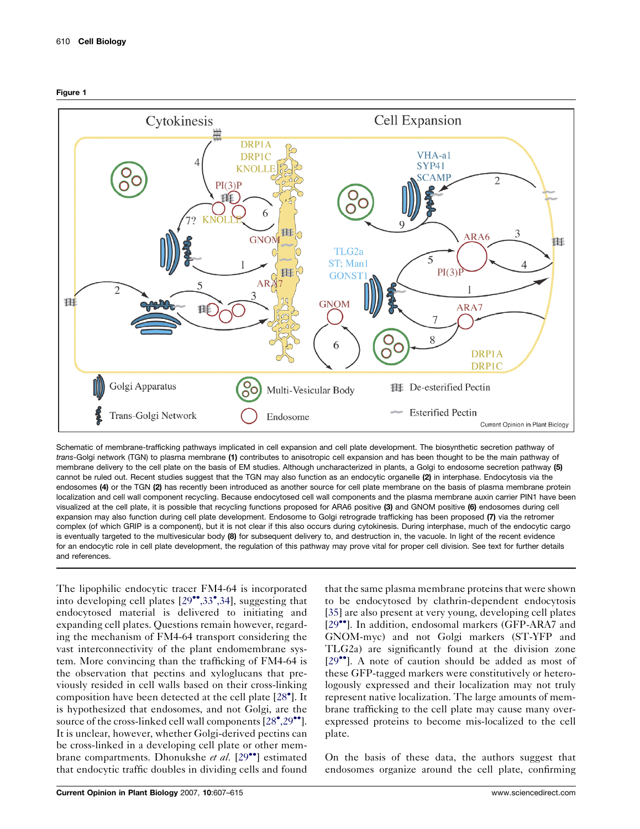<span id="page-3-0"></span>



Schematic of membrane-trafficking pathways implicated in cell expansion and cell plate development. The biosynthetic secretion pathway of trans-Golgi network (TGN) to plasma membrane (1) contributes to anisotropic cell expansion and has been thought to be the main pathway of membrane delivery to the cell plate on the basis of EM studies. Although uncharacterized in plants, a Golgi to endosome secretion pathway (5) cannot be ruled out. Recent studies suggest that the TGN may also function as an endocytic organelle (2) in interphase. Endocytosis via the endosomes (4) or the TGN (2) has recently been introduced as another source for cell plate membrane on the basis of plasma membrane protein localization and cell wall component recycling. Because endocytosed cell wall components and the plasma membrane auxin carrier PIN1 have been visualized at the cell plate, it is possible that recycling functions proposed for ARA6 positive (3) and GNOM positive (6) endosomes during cell expansion may also function during cell plate development. Endosome to Golgi retrograde trafficking has been proposed (7) via the retromer complex (of which GRIP is a component), but it is not clear if this also occurs during cytokinesis. During interphase, much of the endocytic cargo is eventually targeted to the multivesicular body (8) for subsequent delivery to, and destruction in, the vacuole. In light of the recent evidence for an endocytic role in cell plate development, the regulation of this pathway may prove vital for proper cell division. See text for further details and references.

The lipophilic endocytic tracer FM4-64 is incorporated into developing cell plates [\[29](#page-6-0)\*[,33](#page-6-0)\*[,34](#page-6-0)], suggesting that endocytosed material is delivered to initiating and expanding cell plates. Questions remain however, regarding the mechanism of FM4-64 transport considering the vast interconnectivity of the plant endomembrane system. More convincing than the trafficking of FM4-64 is the observation that pectins and xyloglucans that previously resided in cell walls based on their cross-linking composition have been detected at the cell plate [[28](#page-6-0)<sup>°</sup>]. It is hypothesized that endosomes, and not Golgi, are the source of the cross-linked cell wall components  $[28^\bullet, 29^\bullet]$  $[28^\bullet, 29^\bullet]$  $[28^\bullet, 29^\bullet]$ . It is unclear, however, whether Golgi-derived pectins can be cross-linked in a developing cell plate or other mem-brane compartments. Dhonukshe et al. [\[29](#page-6-0)<sup>••</sup>] estimated that endocytic traffic doubles in dividing cells and found

that the same plasma membrane proteins that were shown to be endocytosed by clathrin-dependent endocytosis [\[35](#page-7-0)] are also present at very young, developing cell plates [\[29](#page-6-0)<sup>••</sup>]. In addition, endosomal markers (GFP-ARA7 and GNOM-myc) and not Golgi markers (ST-YFP and TLG2a) are significantly found at the division zone [\[29](#page-6-0)<sup>••</sup>]. A note of caution should be added as most of these GFP-tagged markers were constitutively or heterologously expressed and their localization may not truly represent native localization. The large amounts of membrane trafficking to the cell plate may cause many overexpressed proteins to become mis-localized to the cell plate.

On the basis of these data, the authors suggest that endosomes organize around the cell plate, confirming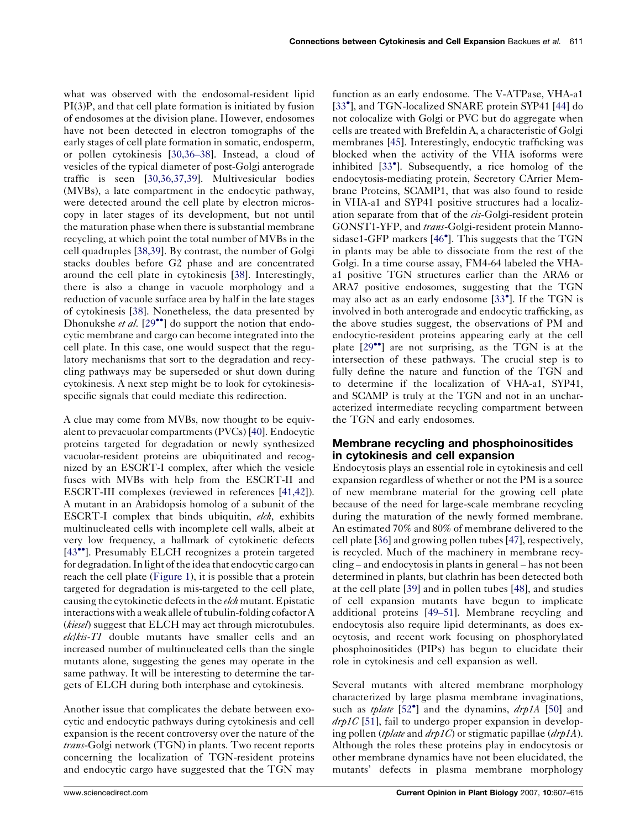what was observed with the endosomal-resident lipid PI(3)P, and that cell plate formation is initiated by fusion of endosomes at the division plane. However, endosomes have not been detected in electron tomographs of the early stages of cell plate formation in somatic, endosperm, or pollen cytokinesis [\[30,36–38\]](#page-6-0). Instead, a cloud of vesicles of the typical diameter of post-Golgi anterograde traffic is seen [\[30,36,37,39\]](#page-6-0). Multivesicular bodies (MVBs), a late compartment in the endocytic pathway, were detected around the cell plate by electron microscopy in later stages of its development, but not until the maturation phase when there is substantial membrane recycling, at which point the total number of MVBs in the cell quadruples [\[38,39\]](#page-7-0). By contrast, the number of Golgi stacks doubles before G2 phase and are concentrated around the cell plate in cytokinesis [\[38](#page-7-0)]. Interestingly, there is also a change in vacuole morphology and a reduction of vacuole surface area by half in the late stages of cytokinesis [\[38](#page-7-0)]. Nonetheless, the data presented by Dhonukshe et al.  $[29$  $[29$ <sup>\*</sup>] do support the notion that endocytic membrane and cargo can become integrated into the cell plate. In this case, one would suspect that the regulatory mechanisms that sort to the degradation and recycling pathways may be superseded or shut down during cytokinesis. A next step might be to look for cytokinesisspecific signals that could mediate this redirection.

A clue may come from MVBs, now thought to be equivalent to prevacuolar compartments (PVCs) [[40\]](#page-7-0). Endocytic proteins targeted for degradation or newly synthesized vacuolar-resident proteins are ubiquitinated and recognized by an ESCRT-I complex, after which the vesicle fuses with MVBs with help from the ESCRT-II and ESCRT-III complexes (reviewed in references [\[41,42](#page-7-0)]). A mutant in an Arabidopsis homolog of a subunit of the ESCRT-I complex that binds ubiquitin, elch, exhibits multinucleated cells with incomplete cell walls, albeit at very low frequency, a hallmark of cytokinetic defects [\[43](#page-7-0)<sup>••</sup>]. Presumably ELCH recognizes a protein targeted for degradation. In light of the idea that endocytic cargo can reach the cell plate ([Figure 1](#page-3-0)), it is possible that a protein targeted for degradation is mis-targeted to the cell plate, causing the cytokinetic defects in the *elch* mutant. Epistatic interactions with a weak allele of tubulin-folding cofactor A (*kiesel*) suggest that ELCH may act through microtubules.  $elckis-T1$  double mutants have smaller cells and an increased number of multinucleated cells than the single mutants alone, suggesting the genes may operate in the same pathway. It will be interesting to determine the targets of ELCH during both interphase and cytokinesis.

Another issue that complicates the debate between exocytic and endocytic pathways during cytokinesis and cell expansion is the recent controversy over the nature of the trans-Golgi network (TGN) in plants. Two recent reports concerning the localization of TGN-resident proteins and endocytic cargo have suggested that the TGN may function as an early endosome. The V-ATPase, VHA-a1 [[33](#page-7-0)<sup>°</sup>], and TGN-localized SNARE protein SYP41 [\[44](#page-7-0)] do not colocalize with Golgi or PVC but do aggregate when cells are treated with Brefeldin A, a characteristic of Golgi membranes [[45\]](#page-7-0). Interestingly, endocytic trafficking was blocked when the activity of the VHA isoforms were inhibited [[33](#page-7-0)- ]. Subsequently, a rice homolog of the endocytosis-mediating protein, Secretory CArrier Membrane Proteins, SCAMP1, that was also found to reside in VHA-a1 and SYP41 positive structures had a localization separate from that of the *cis*-Golgi-resident protein GONST1-YFP, and trans-Golgi-resident protein Manno-sidase1-GFP markers [\[46](#page-7-0)<sup>°</sup>]. This suggests that the TGN in plants may be able to dissociate from the rest of the Golgi. In a time course assay, FM4-64 labeled the VHAa1 positive TGN structures earlier than the ARA6 or ARA7 positive endosomes, suggesting that the TGN may also act as an early endosome [[33](#page-7-0)<sup>°</sup>]. If the TGN is involved in both anterograde and endocytic trafficking, as the above studies suggest, the observations of PM and endocytic-resident proteins appearing early at the cell plate [[29](#page-6-0)<sup>••</sup>] are not surprising, as the TGN is at the intersection of these pathways. The crucial step is to fully define the nature and function of the TGN and to determine if the localization of VHA-a1, SYP41, and SCAMP is truly at the TGN and not in an uncharacterized intermediate recycling compartment between the TGN and early endosomes.

## Membrane recycling and phosphoinositides in cytokinesis and cell expansion

Endocytosis plays an essential role in cytokinesis and cell expansion regardless of whether or not the PM is a source of new membrane material for the growing cell plate because of the need for large-scale membrane recycling during the maturation of the newly formed membrane. An estimated 70% and 80% of membrane delivered to the cell plate [[36\]](#page-7-0) and growing pollen tubes [\[47](#page-7-0)], respectively, is recycled. Much of the machinery in membrane recycling – and endocytosis in plants in general – has not been determined in plants, but clathrin has been detected both at the cell plate [\[39](#page-7-0)] and in pollen tubes [\[48](#page-7-0)], and studies of cell expansion mutants have begun to implicate additional proteins [[49–51\]](#page-7-0). Membrane recycling and endocytosis also require lipid determinants, as does exocytosis, and recent work focusing on phosphorylated phosphoinositides (PIPs) has begun to elucidate their role in cytokinesis and cell expansion as well.

Several mutants with altered membrane morphology characterized by large plasma membrane invaginations, such as *tplate*  $[52^{\circ}]$  $[52^{\circ}]$  and the dynamins,  $drp1A$  [\[50](#page-7-0)] and  $drp1C$  [\[51](#page-7-0)], fail to undergo proper expansion in developing pollen (*tplate* and  $drp1C$ ) or stigmatic papillae ( $drp1A$ ). Although the roles these proteins play in endocytosis or other membrane dynamics have not been elucidated, the mutants' defects in plasma membrane morphology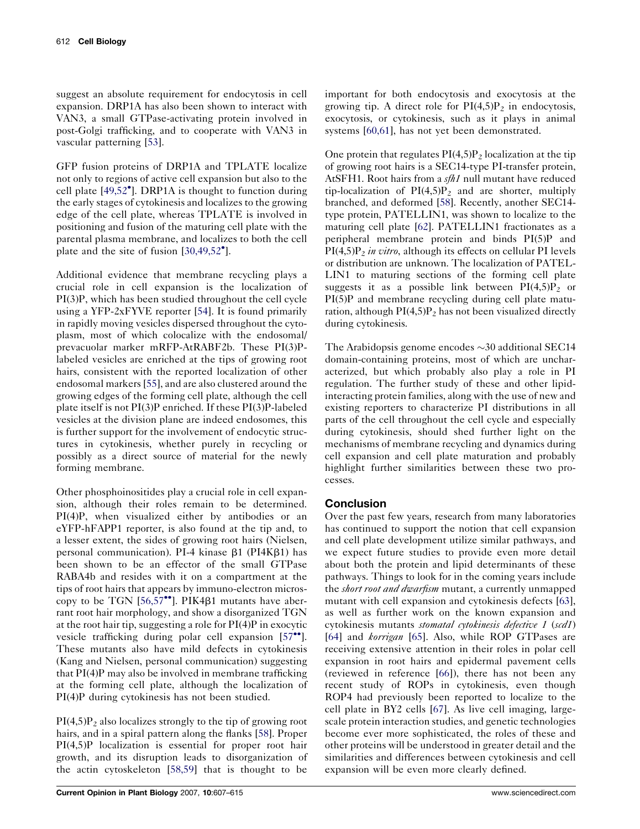suggest an absolute requirement for endocytosis in cell expansion. DRP1A has also been shown to interact with VAN3, a small GTPase-activating protein involved in post-Golgi trafficking, and to cooperate with VAN3 in vascular patterning [[53](#page-7-0)].

GFP fusion proteins of DRP1A and TPLATE localize not only to regions of active cell expansion but also to the cell plate [\[49,52](#page-7-0)- ]. DRP1A is thought to function during the early stages of cytokinesis and localizes to the growing edge of the cell plate, whereas TPLATE is involved in positioning and fusion of the maturing cell plate with the parental plasma membrane, and localizes to both the cell plate and the site of fusion [[30,49,52](#page-6-0)°].

Additional evidence that membrane recycling plays a crucial role in cell expansion is the localization of PI(3)P, which has been studied throughout the cell cycle using a YFP-2xFYVE reporter [\[54](#page-7-0)]. It is found primarily in rapidly moving vesicles dispersed throughout the cytoplasm, most of which colocalize with the endosomal/ prevacuolar marker mRFP-AtRABF2b. These PI(3)Plabeled vesicles are enriched at the tips of growing root hairs, consistent with the reported localization of other endosomal markers [\[55](#page-7-0)], and are also clustered around the growing edges of the forming cell plate, although the cell plate itself is not PI(3)P enriched. If these PI(3)P-labeled vesicles at the division plane are indeed endosomes, this is further support for the involvement of endocytic structures in cytokinesis, whether purely in recycling or possibly as a direct source of material for the newly forming membrane.

Other phosphoinositides play a crucial role in cell expansion, although their roles remain to be determined. PI(4)P, when visualized either by antibodies or an eYFP-hFAPP1 reporter, is also found at the tip and, to a lesser extent, the sides of growing root hairs (Nielsen, personal communication). PI-4 kinase  $\beta$ 1 (PI4K $\beta$ 1) has been shown to be an effector of the small GTPase RABA4b and resides with it on a compartment at the tips of root hairs that appears by immuno-electron microscopy to be TGN  $[56,57^{\bullet\bullet}]$  $[56,57^{\bullet\bullet}]$  $[56,57^{\bullet\bullet}]$ . PIK4 $\beta$ 1 mutants have aberrant root hair morphology, and show a disorganized TGN at the root hair tip, suggesting a role for PI(4)P in exocytic vesicle trafficking during polar cell expansion [[57](#page-7-0)\*']. These mutants also have mild defects in cytokinesis (Kang and Nielsen, personal communication) suggesting that PI(4)P may also be involved in membrane trafficking at the forming cell plate, although the localization of PI(4)P during cytokinesis has not been studied.

 $PI(4,5)P_2$  also localizes strongly to the tip of growing root hairs, and in a spiral pattern along the flanks [\[58](#page-7-0)]. Proper PI(4,5)P localization is essential for proper root hair growth, and its disruption leads to disorganization of the actin cytoskeleton [\[58,59\]](#page-7-0) that is thought to be

important for both endocytosis and exocytosis at the growing tip. A direct role for  $PI(4,5)P_2$  in endocytosis, exocytosis, or cytokinesis, such as it plays in animal systems [[60,61](#page-7-0)], has not yet been demonstrated.

One protein that regulates  $PI(4,5)P_2$  localization at the tip of growing root hairs is a SEC14-type PI-transfer protein, AtSFH1. Root hairs from a sfh1 null mutant have reduced tip-localization of  $PI(4,5)P_2$  and are shorter, multiply branched, and deformed [\[58](#page-7-0)]. Recently, another SEC14 type protein, PATELLIN1, was shown to localize to the maturing cell plate [\[62\]](#page-7-0). PATELLIN1 fractionates as a peripheral membrane protein and binds PI(5)P and  $PI(4,5)P_2$  in vitro, although its effects on cellular PI levels or distribution are unknown. The localization of PATEL-LIN1 to maturing sections of the forming cell plate suggests it as a possible link between  $PI(4,5)P_2$  or PI(5)P and membrane recycling during cell plate maturation, although  $PI(4,5)P_2$  has not been visualized directly during cytokinesis.

The Arabidopsis genome encodes  $\sim$ 30 additional SEC14 domain-containing proteins, most of which are uncharacterized, but which probably also play a role in PI regulation. The further study of these and other lipidinteracting protein families, along with the use of new and existing reporters to characterize PI distributions in all parts of the cell throughout the cell cycle and especially during cytokinesis, should shed further light on the mechanisms of membrane recycling and dynamics during cell expansion and cell plate maturation and probably highlight further similarities between these two processes.

## **Conclusion**

Over the past few years, research from many laboratories has continued to support the notion that cell expansion and cell plate development utilize similar pathways, and we expect future studies to provide even more detail about both the protein and lipid determinants of these pathways. Things to look for in the coming years include the *short root and dwarfism* mutant, a currently unmapped mutant with cell expansion and cytokinesis defects [[63](#page-8-0)], as well as further work on the known expansion and cytokinesis mutants stomatal cytokinesis defective 1 (scd1) [\[64](#page-8-0)] and *korrigan* [\[65](#page-8-0)]. Also, while ROP GTPases are receiving extensive attention in their roles in polar cell expansion in root hairs and epidermal pavement cells (reviewed in reference [\[66](#page-8-0)]), there has not been any recent study of ROPs in cytokinesis, even though ROP4 had previously been reported to localize to the cell plate in BY2 cells [[67\]](#page-8-0). As live cell imaging, largescale protein interaction studies, and genetic technologies become ever more sophisticated, the roles of these and other proteins will be understood in greater detail and the similarities and differences between cytokinesis and cell expansion will be even more clearly defined.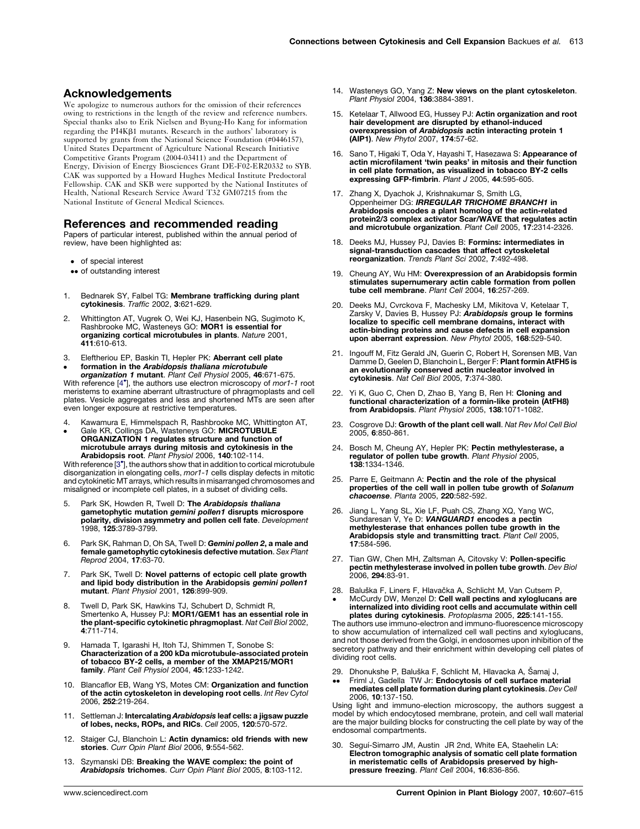### <span id="page-6-0"></span>Acknowledgements

We apologize to numerous authors for the omission of their references owing to restrictions in the length of the review and reference numbers. Special thanks also to Erik Nielsen and Byung-Ho Kang for information regarding the PI4K $\beta$ 1 mutants. Research in the authors' laboratory is supported by grants from the National Science Foundation (#0446157), United States Department of Agriculture National Research Initiative Competitive Grants Program (2004-03411) and the Department of Energy, Division of Energy Biosciences Grant DE-F02-ER20332 to SYB. CAK was supported by a Howard Hughes Medical Institute Predoctoral Fellowship. CAK and SKB were supported by the National Institutes of Health, National Research Service Award T32 GM07215 from the National Institute of General Medical Sciences.

#### References and recommended reading

Papers of particular interest, published within the annual period of review, have been highlighted as:

- of special interest
- •• of outstanding interest
- 1. Bednarek SY, Falbel TG: Membrane trafficking during plant cytokinesis. Traffic 2002, 3:621-629.
- 2. Whittington AT, Vugrek O, Wei KJ, Hasenbein NG, Sugimoto K, Rashbrooke MC, Wasteneys GO: MOR1 is essential for organizing cortical microtubules in plants. Nature 2001, 411:610-613.
- 3. Eleftheriou EP, Baskin TI, Hepler PK: Aberrant cell plate

 $\bullet$ formation in the Arabidopsis thaliana microtubule organization 1 mutant. Plant Cell Physiol 2005, 46:671-675. With reference [4\*], the authors use electron microscopy of mor1-1 root meristems to examine aberrant ultrastructure of phragmoplasts and cell plates. Vesicle aggregates and less and shortened MTs are seen after even longer exposure at restrictive temperatures.

4.  $\bullet$ Kawamura E, Himmelspach R, Rashbrooke MC, Whittington AT, Gale KR, Collings DA, Wasteneys GO: MICROTUBULE ORGANIZATION 1 regulates structure and function of microtubule arrays during mitosis and cytokinesis in the Arabidopsis root. Plant Physiol 2006, 140:102-114.

With reference [3<sup>\*</sup>], the authors show that in addition to cortical microtubule disorganization in elongating cells, mor1-1 cells display defects in mitotic and cytokinetic MT arrays, which results in misarranged chromosomes and misaligned or incomplete cell plates, in a subset of dividing cells.

- 5. Park SK, Howden R, Twell D: The Arabidopsis thaliana gametophytic mutation *gemini pollen1* disrupts microspore<br>polarity, division asymmetry and pollen cell fate. *Development* 1998, 125:3789-3799.
- 6. Park SK, Rahman D, Oh SA, Twell D: Gemini pollen 2, a male and female gametophytic cytokinesis defective mutation. Sex Plant Reprod 2004, 17:63-70.
- 7. Park SK, Twell D: Novel patterns of ectopic cell plate growth and lipid body distribution in the Arabidopsis gemini pollen1 mutant. Plant Physiol 2001, 126:899-909.
- 8. Twell D, Park SK, Hawkins TJ, Schubert D, Schmidt R, Smertenko A, Hussey PJ: MOR1/GEM1 has an essential role in the plant-specific cytokinetic phragmoplast. Nat Cell Biol 2002, 4:711-714.
- Hamada T, Igarashi H, Itoh TJ, Shimmen T, Sonobe S: Characterization of a 200 kDa microtubule-associated protein of tobacco BY-2 cells, a member of the XMAP215/MOR1 family. Plant Cell Physiol 2004, 45:1233-1242.
- 10. Blancaflor EB, Wang YS, Motes CM: Organization and function of the actin cytoskeleton in developing root cells. Int Rev Cytol 2006, 252:219-264.
- 11. Settleman J: Intercalating Arabidopsis leaf cells: a jigsaw puzzle of lobes, necks, ROPs, and RICs. Cell 2005, 120:570-572.
- 12. Staiger CJ, Blanchoin L: Actin dynamics: old friends with new stories. Curr Opin Plant Biol 2006, 9:554-562.
- 13. Szymanski DB: Breaking the WAVE complex: the point of Arabidopsis trichomes. Curr Opin Plant Biol 2005, 8:103-112.
- 14. Wasteneys GO, Yang Z: New views on the plant cytoskeleton. Plant Physiol 2004, 136:3884-3891.
- 15. Ketelaar T, Allwood EG, Hussey PJ: Actin organization and root hair development are disrupted by ethanol-induced overexpression of Arabidopsis actin interacting protein 1 (AIP1). New Phytol 2007, 174:57-62.
- 16. Sano T, Higaki T, Oda Y, Hayashi T, Hasezawa S: Appearance of actin microfilament 'twin peaks' in mitosis and their function in cell plate formation, as visualized in tobacco BY-2 cells expressing GFP-fimbrin. Plant J 2005, 44:595-605.
- 17. Zhang X, Dyachok J, Krishnakumar S, Smith LG, Oppenheimer DG: IRREGULAR TRICHOME BRANCH1 in Arabidopsis encodes a plant homolog of the actin-related protein2/3 complex activator Scar/WAVE that regulates actin and microtubule organization. Plant Cell 2005, 17:2314-2326.
- 18. Deeks MJ, Hussey PJ, Davies B: Formins: intermediates in signal-transduction cascades that affect cytoskeletal reorganization. Trends Plant Sci 2002, 7:492-498.
- 19. Cheung AY, Wu HM: Overexpression of an Arabidopsis formin stimulates supernumerary actin cable formation from pollen tube cell membrane. Plant Cell 2004, 16:257-269.
- 20. Deeks MJ, Cvrckova F, Machesky LM, Mikitova V, Ketelaar T, Zarsky V, Davies B, Hussey PJ: **Arabidopsis group le formins** localize to specific cell membrane domains, interact with actin-binding proteins and cause defects in cell expansion upon aberrant expression. New Phytol 2005, 168:529-540.
- 21. Ingouff M, Fitz Gerald JN, Guerin C, Robert H, Sorensen MB, Van Damme D, Geelen D, Blanchoin L, Berger F: Plant formin AtFH5 is an evolutionarily conserved actin nucleator involved in cytokinesis. Nat Cell Biol 2005, 7:374-380.
- 22. Yi K, Guo C, Chen D, Zhao B, Yang B, Ren H: Cloning and functional characterization of a formin-like protein (AtFH8) from Arabidopsis. Plant Physiol 2005, 138:1071-1082.
- 23. Cosgrove DJ: Growth of the plant cell wall. Nat Rev Mol Cell Biol 2005, 6:850-861.
- 24. Bosch M, Cheung AY, Hepler PK: Pectin methylesterase, a<br>regulator of pollen tube growth. Plant Physiol 2005, 138:1334-1346.
- 25. Parre E, Geitmann A: Pectin and the role of the physical properties of the cell wall in pollen tube growth of Solanum chacoense. Planta 2005, 220:582-592.
- 26. Jiang L, Yang SL, Xie LF, Puah CS, Zhang XQ, Yang WC, Sundaresan V, Ye D: VANGUARD1 encodes a pectin methylesterase that enhances pollen tube growth in the Arabidopsis style and transmitting tract. Plant Cell 2005, 17:584-596.
- 27. Tian GW, Chen MH, Zaltsman A, Citovsky V: **Pollen-specific**<br>**pectin methylesterase involved in pollen tube growth**. Dev Biol 2006, 294:83-91.
- 28. Baluška F, Liners F, Hlavačka A, Schlicht M, Van Cutsem P,
- -McCurdy DW, Menzel D: Cell wall pectins and xyloglucans are internalized into dividing root cells and accumulate within cell plates during cytokinesis. Protoplasma 2005, 225:141-155.

The authors use immuno-electron and immuno-fluorescence microscopy to show accumulation of internalized cell wall pectins and xyloglucans, and not those derived from the Golgi, in endosomes upon inhibition of the secretory pathway and their enrichment within developing cell plates of dividing root cells.

29. Dhonukshe P, Baluška F, Schlicht M, Hlavacka A, Šamaj J, --Friml J, Gadella TW Jr: Endocytosis of cell surface material mediates cell plate formation during plant cytokinesis. Dev Cell 2006, 10:137-150.

Using light and immuno-election microscopy, the authors suggest a model by which endocytosed membrane, protein, and cell wall material are the major building blocks for constructing the cell plate by way of the endosomal compartments.

30. Seguí-Simarro JM, Austin JR 2nd, White EA, Staehelin LA: Electron tomographic analysis of somatic cell plate formation in meristematic cells of Arabidopsis preserved by highpressure freezing. Plant Cell 2004, 16:836-856.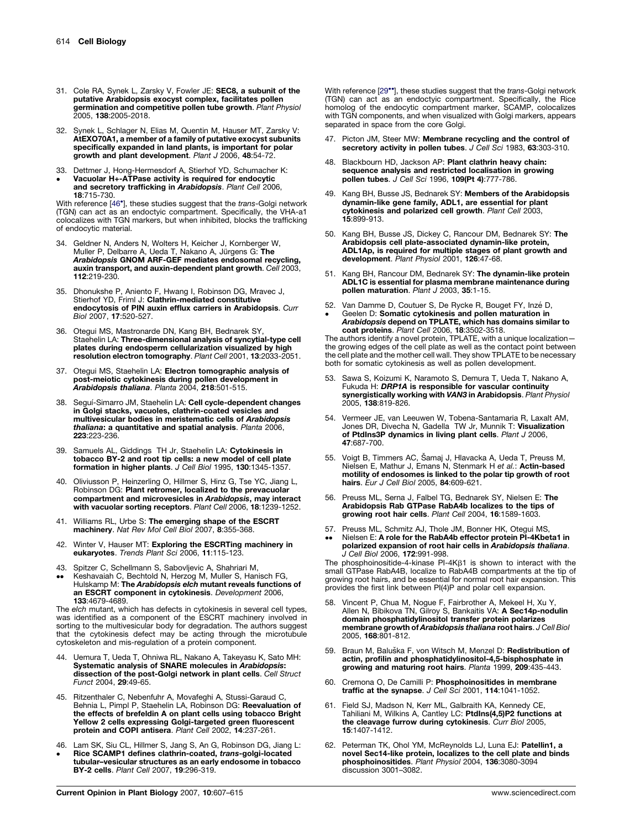- <span id="page-7-0"></span>31. Cole RA, Synek L, Zarsky V, Fowler JE: SEC8, a subunit of the putative Arabidopsis exocyst complex, facilitates pollen germination and competitive pollen tube growth. Plant Physiol 2005, 138:2005-2018.
- 32. Synek L, Schlager N, Elias M, Quentin M, Hauser MT, Zarsky V: AtEXO70A1, a member of a family of putative exocyst subunits specifically expanded in land plants, is important for polar growth and plant development. Plant J 2006, 48:54-72.
- 33. Dettmer J, Hong-Hermesdorf A, Stierhof YD, Schumacher K:
- $\bullet$ Vacuolar H+-ATPase activity is required for endocytic and secretory trafficking in Arabidopsis. Plant Cell 2006, 18:715-730.

With reference [46<sup>\*</sup>], these studies suggest that the *trans-*Golgi network (TGN) can act as an endoctyic compartment. Specifically, the VHA-a1 colocalizes with TGN markers, but when inhibited, blocks the trafficking of endocytic material.

- 34. Geldner N, Anders N, Wolters H, Keicher J, Kornberger W,<br>Muller P, Delbarre A, Ueda T, Nakano A, Jürgens G: **The** Arabidopsis GNOM ARF-GEF mediates endosomal recycling, auxin transport, and auxin-dependent plant growth. Cell 2003, 112:219-230.
- 35. Dhonukshe P, Aniento F, Hwang I, Robinson DG, Mravec J, Stierhof YD, Friml J: Clathrin-mediated constitutive endocytosis of PIN auxin efflux carriers in Arabidopsis. Curr Biol 2007, 17:520-527.
- 36. Otegui MS, Mastronarde DN, Kang BH, Bednarek SY, Staehelin LA: Three-dimensional analysis of syncytial-type cell plates during endosperm cellularization visualized by high resolution electron tomography. Plant Cell 2001, 13:2033-2051.
- 37. Otegui MS, Staehelin LA: Electron tomographic analysis of post-meiotic cytokinesis during pollen development in Arabidopsis thaliana. Planta 2004, 218:501-515.
- 38. Seguí-Simarro JM, Staehelin LA: Cell cycle-dependent changes in Golgi stacks, vacuoles, clathrin-coated vesicles and multivesicular bodies in meristematic cells of Arabidopsis thaliana: a quantitative and spatial analysis. Planta 2006, 223:223-236.
- 39. Samuels AL, Giddings TH Jr, Staehelin LA: Cytokinesis in tobacco BY-2 and root tip cells: a new model of cell plate formation in higher plants. J Cell Biol 1995, 130:1345-1357.
- 40. Oliviusson P, Heinzerling O, Hillmer S, Hinz G, Tse YC, Jiang L, Robinson DG: Plant retromer, localized to the prevacuolar compartment and microvesicles in Arabidopsis, may interact with vacuolar sorting receptors. Plant Cell 2006, 18:1239-1252.
- 41. Williams RL, Urbe S: The emerging shape of the ESCRT machinery. Nat Rev Mol Cell Biol 2007, 8:355-368.
- 42. Winter V, Hauser MT: Exploring the ESCRTing machinery in eukaryotes. Trends Plant Sci 2006, 11:115-123.
- 43.
- -- Spitzer C, Schellmann S, Sabovljevic A, Shahriari M, Keshavaiah C, Bechtold N, Herzog M, Muller S, Hanisch FG, Hulskamp M: The Arabidopsis elch mutant reveals functions of an ESCRT component in cytokinesis. Development 2006, 133:4679-4689.

The elch mutant, which has defects in cytokinesis in several cell types, was identified as a component of the ESCRT machinery involved in sorting to the multivesicular body for degradation. The authors suggest that the cytokinesis defect may be acting through the microtubule cytoskeleton and mis-regulation of a protein component.

- 44. Uemura T, Ueda T, Ohniwa RL, Nakano A, Takeyasu K, Sato MH: Systematic analysis of SNARE molecules in Arabidopsis: dissection of the post-Golgi network in plant cells. Cell Struct Funct 2004, 29:49-65.
- 45. Ritzenthaler C, Nebenfuhr A, Movafeghi A, Stussi-Garaud C, Behnia L, Pimpl P, Staehelin LA, Robinson DG: Reevaluation of the effects of brefeldin A on plant cells using tobacco Bright Yellow 2 cells expressing Golgi-targeted green fluorescent protein and COPI antisera. Plant Cell 2002, 14:237-261.
- 46. Lam SK, Siu CL, Hillmer S, Jang S, An G, Robinson DG, Jiang L:  $\bullet$ Rice SCAMP1 defines clathrin-coated, trans-golgi-located
- tubular–vesicular structures as an early endosome in tobacco BY-2 cells. Plant Cell 2007, 19:296-319.

With reference [[29](#page-6-0)\*], these studies suggest that the trans-Golgi network (TGN) can act as an endoctyic compartment. Specifically, the Rice homolog of the endocytic compartment marker, SCAMP, colocalizes with TGN components, and when visualized with Golgi markers, appears separated in space from the core Golgi.

- 47. Picton JM, Steer MW: Membrane recycling and the control of secretory activity in pollen tubes. J Cell Sci 1983, 63:303-310.
- 48. Blackbourn HD, Jackson AP: Plant clathrin heavy chain: sequence analysis and restricted localisation in growing pollen tubes. J Cell Sci 1996, 109(Pt 4):777-786.
- 49. Kang BH, Busse JS, Bednarek SY: Members of the Arabidopsis<br>dynamin-like gene family, ADL1, are essential for plant dynamin-like gene family, ADL1, are essential for plant<br>cytokinesis and polarized cell growth. *Plant Cell* 2003,<br>15:899-913.
- 50. Kang BH, Busse JS, Dickey C, Rancour DM, Bednarek SY: The Arabidopsis cell plate-associated dynamin-like protein, ADL1Ap, is required for multiple stages of plant growth and development. Plant Physiol 2001, 126:47-68.
- 51. Kang BH, Rancour DM, Bednarek SY: The dynamin-like protein ADL1C is essential for plasma membrane maintenance during pollen maturation. Plant J 2003, 35:1-15.
- 52. Van Damme D, Coutuer S, De Rycke R, Bouget FY, Inzé D, -Geelen D: Somatic cytokinesis and pollen maturation in A*rabidopsis* depend on TPLATE, which has domains similar to<br>coat proteins. *Plant Cell 2*006, 18:3502-3518.

The authors identify a novel protein, TPLATE, with a unique localization the growing edges of the cell plate as well as the contact point between the cell plate and the mother cell wall. They show TPLATE to be necessary both for somatic cytokinesis as well as pollen development.

- 53. Sawa S, Koizumi K, Naramoto S, Demura T, Ueda T, Nakano A, Fukuda H: DRP1A is responsible for vascular continuity synergistically working with VAN3 in Arabidopsis. Plant Physiol 2005, 138:819-826.
- 54. Vermeer JE, van Leeuwen W, Tobena-Santamaria R, Laxalt AM,<br>Jones DR, Divecha N, Gadella TW Jr, Munnik T: **Visualization** of PtdIns3P dynamics in living plant cells. Plant J 2006, 47:687-700.
- 55. Voigt B, Timmers AC, Šamaj J, Hlavacka A, Ueda T, Preuss M, Nielsen E, Mathur J, Emans N, Stenmark H et al.: Actin-based motility of endosomes is linked to the polar tip growth of root hairs. Eur J Cell Biol 2005, 84:609-621.
- 56. Preuss ML, Serna J, Falbel TG, Bednarek SY, Nielsen E: The Arabidopsis Rab GTPase RabA4b localizes to the tips of growing root hair cells. Plant Cell 2004, 16:1589-1603.
- 57. Preuss ML, Schmitz AJ, Thole JM, Bonner HK, Otegui MS,
- --Nielsen E: A role for the RabA4b effector protein PI-4Kbeta1 in polarized expansion of root hair cells in Arabidopsis thaliana. J Cell Biol 2006, 172:991-998.

The phosphoinositide-4-kinase  $PI-4K\beta1$  is shown to interact with the small GTPase RabA4B, localize to RabA4B compartments at the tip of growing root hairs, and be essential for normal root hair expansion. This provides the first link between PI(4)P and polar cell expansion.

- 58. Vincent P, Chua M, Nogue F, Fairbrother A, Mekeel H, Xu Y, Allen N, Bibikova TN, Gilroy S, Bankaitis VA: A Sec14p-nodulin domain phosphatidylinositol transfer protein polarizes membrane growth of Arabidopsis thaliana root hairs. J Cell Biol 2005, 168:801-812.
- 59. Braun M, Baluška F, von Witsch M, Menzel D: Redistribution of actin, profilin and phosphatidylinositol-4,5-bisphosphate in growing and maturing root hairs. Planta 1999, 209:435-443.
- 60. Cremona O, De Camilli P: Phosphoinositides in membrane traffic at the synapse. J Cell Sci 2001, 114:1041-1052.
- 61. Field SJ, Madson N, Kerr ML, Galbraith KA, Kennedy CE, Tahiliani M, Wilkins A, Cantley LC: PtdIns(4,5)P2 functions at the cleavage furrow during cytokinesis. Curr Biol 2005, 15:1407-1412.
- 62. Peterman TK, Ohol YM, McReynolds LJ, Luna EJ: Patellin1, a novel Sec14-like protein, localizes to the cell plate and binds phosphoinositides. Plant Physiol 2004, 136:3080-3094 discussion 3001–3082.